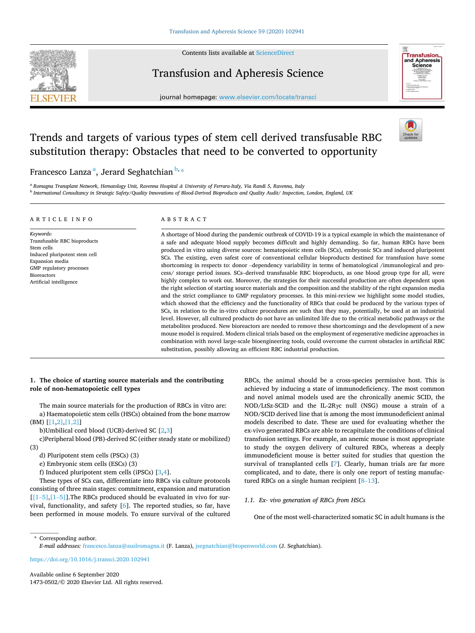

Contents lists available at [ScienceDirect](www.sciencedirect.com/science/journal/14730502)

# Transfusion and Apheresis Science



journal homepage: [www.elsevier.com/locate/transci](https://www.elsevier.com/locate/transci) 

# Trends and targets of various types of stem cell derived transfusable RBC substitution therapy: Obstacles that need to be converted to opportunity



Francesco Lanza <sup>a</sup>, Jerard Seghatchian <sup>b,</sup>\*

<sup>a</sup> *Romagna Transplant Network, Hematology Unit, Ravenna Hospital & University of Ferrara-Italy, Via Randi 5, Ravenna, Italy* <sup>b</sup> *International Consultancy in Strategic Safety/Quality Innovations of Blood-Derived Bioproducts and Quality Audit/ Inspection, London, England, UK* 

#### ARTICLE INFO

*Keywords:*  Transfusable RBC bioproducts Stem cells Induced pluripotent stem cell Expansion media GMP regulatory processes Bioreactors Artificial intelligence

# ABSTRACT

A shortage of blood during the pandemic outbreak of COVID-19 is a typical example in which the maintenance of a safe and adequate blood supply becomes difficult and highly demanding. So far, human RBCs have been produced in vitro using diverse sources: hematopoietic stem cells (SCs), embryonic SCs and induced pluripotent SCs. The existing, even safest core of conventional cellular bioproducts destined for transfusion have some shortcoming in respects to: donor –dependency variability in terms of hematological /immunological and process/ storage period issues. SCs–derived transfusable RBC bioproducts, as one blood group type for all, were highly complex to work out. Moreover, the strategies for their successful production are often dependent upon the right selection of starting source materials and the composition and the stability of the right expansion media and the strict compliance to GMP regulatory processes. In this mini-review we highlight some model studies, which showed that the efficiency and the functionality of RBCs that could be produced by the various types of SCs, in relation to the in-vitro culture procedures are such that they may, potentially, be used at an industrial level. However, all cultured products do not have an unlimited life due to the critical metabolic pathways or the metabolites produced. New bioreactors are needed to remove these shortcomings and the development of a new mouse model is required. Modern clinical trials based on the employment of regenerative medicine approaches in combination with novel large-scale bioengineering tools, could overcome the current obstacles in artificial RBC substitution, possibly allowing an efficient RBC industrial production.

# **1. The choice of starting source materials and the contributing role of non-hematopoietic cell types**

The main source materials for the production of RBCs in vitro are: a) Haematopoietic stem cells (HSCs) obtained from the bone marrow (BM) [\[\[1,2\],\[1,2\]](#page-3-0)]

b)Umbilical cord blood (UCB)-derived SC [[2](#page-3-0),[3](#page-3-0)]

c)Peripheral blood (PB)-derived SC (either steady state or mobilized) (3)

d) Pluripotent stem cells (PSCs) (3)

e) Embryonic stem cells (ESCs) (3)

f) Induced pluripotent stem cells (iPSCs) [\[3,4](#page-3-0)].

These types of SCs can, differentiate into RBCs via culture protocols consisting of three main stages: commitment, expansion and maturation  $[[1–5],[1–5]]$  $[[1–5],[1–5]]$  $[[1–5],[1–5]]$  $[[1–5],[1–5]]$ . The RBCs produced should be evaluated in vivo for survival, functionality, and safety [[6](#page-3-0)]. The reported studies, so far, have been performed in mouse models. To ensure survival of the cultured RBCs, the animal should be a cross-species permissive host. This is achieved by inducing a state of immunodeficiency. The most common and novel animal models used are the chronically anemic SCID, the NOD/LtSz-SCID and the IL-2Rγc null (NSG) mouse a strain of a NOD/SCID derived line that is among the most immunodeficient animal models described to date. These are used for evaluating whether the ex-vivo generated RBCs are able to recapitulate the conditions of clinical transfusion settings. For example, an anemic mouse is most appropriate to study the oxygen delivery of cultured RBCs, whereas a deeply immunodeficient mouse is better suited for studies that question the survival of transplanted cells [\[7\]](#page-3-0). Clearly, human trials are far more complicated, and to date, there is only one report of testing manufactured RBCs on a single human recipient [8–[13](#page-3-0)].

# *1.1. Ex- vivo generation of RBCs from HSCs*

One of the most well-characterized somatic SC in adult humans is the

\* Corresponding author.

*E-mail addresses:* [francesco.lanza@auslromagna.it](mailto:francesco.lanza@auslromagna.it) (F. Lanza), [jsegnatchian@btopenworld.com](mailto:jsegnatchian@btopenworld.com) (J. Seghatchian).

<https://doi.org/10.1016/j.transci.2020.102941>

Available online 6 September 2020 1473-0502/© 2020 Elsevier Ltd. All rights reserved.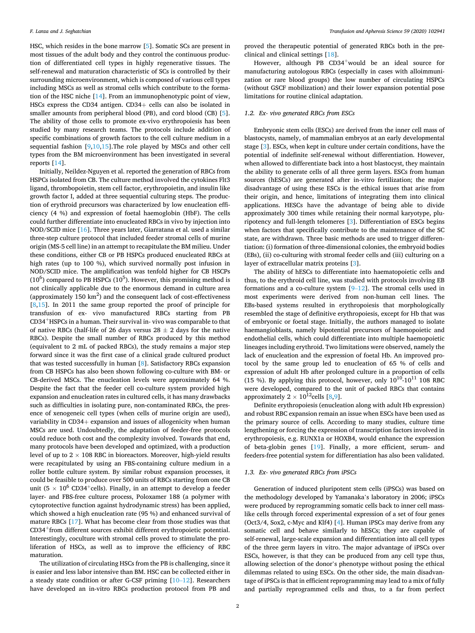HSC, which resides in the bone marrow [[5](#page-3-0)]. Somatic SCs are present in most tissues of the adult body and they control the continuous production of differentiated cell types in highly regenerative tissues. The self-renewal and maturation characteristic of SCs is controlled by their surrounding microenvironment, which is composed of various cell types including MSCs as well as stromal cells which contribute to the formation of the HSC niche [\[14](#page-3-0)]. From an immunophenotypic point of view, HSCs express the CD34 antigen. CD34+ cells can also be isolated in smaller amounts from peripheral blood (PB), and cord blood (CB) [[5](#page-3-0)]. The ability of those cells to promote ex-vivo erythropoiesis has been studied by many research teams. The protocols include addition of specific combinations of growth factors to the cell culture medium in a sequential fashion [[9,10,15](#page-3-0)].The role played by MSCs and other cell types from the BM microenvironment has been investigated in several reports [\[14](#page-3-0)].

Initially, Neildez-Nguyen et al. reported the generation of RBCs from HSPCs isolated from CB. The culture method involved the cytokines Flt3 ligand, thrombopoietin, stem cell factor, erythropoietin, and insulin like growth factor I, added at three sequential culturing steps. The production of erythroid precursors was characterized by low enucleation efficiency (4 %) and expression of foetal haemoglobin (HbF). The cells could further differentiate into enucleated RBCs in vivo by injection into NOD/SCID mice [\[16](#page-3-0)]. Three years later, Giarratana et al. used a similar three-step culture protocol that included feeder stromal cells of murine origin (MS-5 cell line) in an attempt to recapitulate the BM milieu. Under these conditions, either CB or PB HSPCs produced enucleated RBCs at high rates (up to 100 %), which survived normally post infusion in NOD/SCID mice. The amplification was tenfold higher for CB HSCPs  $(10^6)$  compared to PB HSPCs  $(10^5)$ . However, this promising method is not clinically applicable due to the enormous demand in culture area (approximately  $150 \text{ km}^2$ ) and the consequent lack of cost-effectiveness  $[8,15]$  $[8,15]$  $[8,15]$  $[8,15]$ . In 2011 the same group reported the proof of principle for transfusion of ex- vivo manufactured RBCs starting from PB CD34+HSPCs in a human. Their survival in- vivo was comparable to that of native RBCs (half-life of 26 days versus  $28 \pm 2$  days for the native RBCs). Despite the small number of RBCs produced by this method (equivalent to 2 mL of packed RBCs), the study remains a major step forward since it was the first case of a clinical grade cultured product that was tested successfully in human [[8](#page-3-0)]. Satisfactory RBCs expansion from CB HSPCs has also been shown following co-culture with BM- or CB-derived MSCs. The enucleation levels were approximately 64 %. Despite the fact that the feeder cell co-culture system provided high expansion and enucleation rates in cultured cells, it has many drawbacks such as difficulties in isolating pure, non-contaminated RBCs, the presence of xenogeneic cell types (when cells of murine origin are used), variability in CD34+ expansion and issues of allogenicity when human MSCs are used. Undoubtedly, the adaptation of feeder-free protocols could reduce both cost and the complexity involved. Towards that end, many protocols have been developed and optimized, with a production level of up to  $2 \times 108$  RBC in bioreactors. Moreover, high-yield results were recapitulated by using an FBS-containing culture medium in a roller bottle culture system. By similar robust expansion processes, it could be feasible to produce over 500 units of RBCs starting from one CB unit (5  $\times$  10<sup>6</sup> CD34<sup>+</sup>cells). Finally, in an attempt to develop a feeder layer- and FBS-free culture process, Poloxamer 188 (a polymer with cytoprotective function against hydrodynamic stress) has been applied, which showed a high enucleation rate (95 %) and enhanced survival of mature RBCs [\[17](#page-3-0)]. What has become clear from those studies was that CD34+from different sources exhibit different erythropoietic potential. Interestingly, coculture with stromal cells proved to stimulate the proliferation of HSCs, as well as to improve the efficiency of RBC maturation.

The utilization of circulating HSCs from the PB is challenging, since it is easier and less labor intensive than BM. HSC can be collected either in a steady state condition or after G-CSF priming [\[10](#page-3-0)–12]. Researchers have developed an in-vitro RBCs production protocol from PB and

proved the therapeutic potential of generated RBCs both in the preclinical and clinical settings [[18](#page-3-0)].

However, although PB CD34<sup>+</sup>would be an ideal source for manufacturing autologous RBCs (especially in cases with alloimmunization or rare blood groups) the low number of circulating HSPCs (without GSCF mobilization) and their lower expansion potential pose limitations for routine clinical adaptation.

#### *1.2. Ex- vivo generated RBCs from ESCs*

Embryonic stem cells (ESCs) are derived from the inner cell mass of blastocysts, namely, of mammalian embryos at an early developmental stage [\[3](#page-3-0)]. ESCs, when kept in culture under certain conditions, have the potential of indefinite self-renewal without differentiation. However, when allowed to differentiate back into a host blastocyst, they maintain the ability to generate cells of all three germ layers. ESCs from human sources (hESCs) are generated after in-vitro fertilization; the major disadvantage of using these ESCs is the ethical issues that arise from their origin, and hence, limitations of integrating them into clinical applications. HESCs have the advantage of being able to divide approximately 300 times while retaining their normal karyotype, pluripotency and full-length telomeres [\[3\]](#page-3-0). Differentiation of ESCs begins when factors that specifically contribute to the maintenance of the SC state, are withdrawn. Three basic methods are used to trigger differentiation: (i) formation of three-dimensional colonies, the embryoid bodies (EBs), (ii) co-culturing with stromal feeder cells and (iii) culturing on a layer of extracellular matrix proteins [[3](#page-3-0)].

The ability of hESCs to differentiate into haematopoietic cells and thus, to the erythroid cell line, was studied with protocols involving EB formations and a co-culture system  $[9-12]$  $[9-12]$ . The stromal cells used in most experiments were derived from non-human cell lines. The EBs-based systems resulted in erythropoiesis that morphologically resembled the stage of definitive erythropoiesis, except for Hb that was of embryonic or foetal stage. Initially, the authors managed to isolate haemangioblasts, namely bipotential precursors of haemopoietic and endothelial cells, which could differentiate into multiple haemopoietic lineages including erythroid. Two limitations were observed, namely the lack of enucleation and the expression of foetal Hb. An improved protocol by the same group led to enucleation of 65 % of cells and expression of adult Hb after prolonged culture in a proportion of cells (15 %). By applying this protocol, however, only  $10^{10}$ - $10^{11}$  108 RBC were developed, compared to the unit of packed RBCs that contains approximately  $2 \times 10^{12}$ cells [\[8,9](#page-3-0)].

Definite erythropoiesis (enucleation along with adult Hb expression) and robust RBC expansion remain an issue when ESCs have been used as the primary source of cells. According to many studies, culture time lengthening or forcing the expression of transcription factors involved in erythropoiesis, e.g. RUNX1a or HOXB4, would enhance the expression of beta-globin genes [\[19](#page-3-0)]. Finally, a more efficient, serum- and feeders-free potential system for differentiation has also been validated.

# *1.3. Ex- vivo generated RBCs from iPSCs*

Generation of induced pluripotent stem cells (iPSCs) was based on the methodology developed by Yamanaka's laboratory in 2006; iPSCs were produced by reprogramming somatic cells back to inner cell masslike cells through forced experimental expression of a set of four genes (Oct3/4, Sox2, c-Myc and Klf4) [\[4\]](#page-3-0). Human iPSCs may derive from any somatic cell and behave similarly to hESCs; they are capable of self-renewal, large-scale expansion and differentiation into all cell types of the three germ layers in vitro. The major advantage of iPSCs over ESCs, however, is that they can be produced from any cell type thus, allowing selection of the donor's phenotype without posing the ethical dilemmas related to using ESCs. On the other side, the main disadvantage of iPSCs is that in efficient reprogramming may lead to a mix of fully and partially reprogrammed cells and thus, to a far from perfect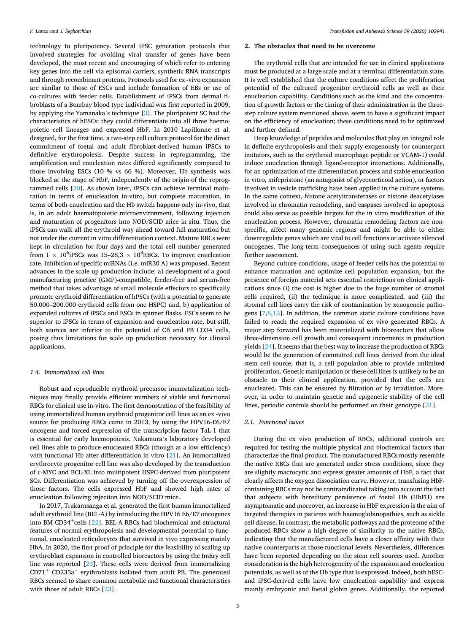technology to pluripotency. Several iPSC generation protocols that involved strategies for avoiding viral transfer of genes have been developed, the most recent and encouraging of which refer to entering key genes into the cell via episomal carriers, synthetic RNA transcripts and through recombinant proteins. Protocols used for ex -vivo expansion are similar to those of ESCs and include formation of EBs or use of co-cultures with feeder cells. Establishment of iPSCs from dermal fibroblasts of a Bombay blood type individual was first reported in 2009, by applying the Yamanaka's technique [[3](#page-3-0)]. The pluripotent SC had the characteristics of hESCs: they could differentiate into all three haemopoietic cell lineages and expressed HbF. In 2010 Lapillonne et al. designed, for the first time, a two-step cell culture protocol for the direct commitment of foetal and adult fibroblast-derived human iPSCs to definitive erythropoiesis. Despite success in reprogramming, the amplification and enucleation rates differed significantly compared to those involving ESCs (10 % vs 66 %). Moreover, Hb synthesis was blocked at the stage of HbF, independently of the origin of the reprogrammed cells [[20\]](#page-3-0). As shown later, iPSCs can achieve terminal maturation in terms of enucleation in-vitro, but complete maturation, in terms of both enucleation and the Hb switch happens only in-vivo, that is, in an adult haematopoietic microenvironment, following injection and maturation of progenitors into NOD/SCID mice in situ. Thus, the iPSCs can walk all the erythroid way ahead toward full maturation but not under the current in vitro differentiation context. Mature RBCs were kept in circulation for four days and the total cell number generated from  $1 \times 10^6$ iPSCs was  $15-28,3 \times 10^8$ RBCs. To improve enucleation rate, inhibition of specific miRNAs (i.e. miR30 A) was proposed. Recent advances in the scale-up production include: a) development of a good manufacturing practice (GMP)-compatible, feeder-free and serum-free method that takes advantage of small molecule effectors to specifically promote erythroid differentiation of hPSCs (with a potential to generate 50.000–200.000 erythroid cells from one HSPC) and, b) application of expanded cultures of iPSCs and ESCs in spinner flasks. ESCs seem to be superior to iPSCs in terms of expansion and enucleation rate, but still, both sources are inferior to the potential of CB and PB  $CD34^+$ cells, posing thus limitations for scale up production necessary for clinical applications.

#### *1.4. Immortalized cell lines*

Robust and reproducible erythroid precursor immortalization techniques may finally provide efficient numbers of viable and functional RBCs for clinical use in-vitro. The first demonstration of the feasibility of using immortalized human erythroid progenitor cell lines as an ex -vivo source for producing RBCs came in 2013, by using the HPV16-E6/E7 oncogene and forced expression of the transcription factor TaL-1 that is essential for early haemopoiesis. Nakamura's laboratory developed cell lines able to produce enucleated RBCs (though at a low efficiency) with functional Hb after differentiation in vitro [\[21\]](#page-3-0). An immortalized erythrocyte progenitor cell line was also developed by the transduction of c-MYC and BCL-XL into multipotent HSPC-derived from pluripotent SCs. Differentiation was achieved by turning off the overexpression of those factors. The cells expressed HbF and showed high rates of enucleation following injection into NOD/SCID mice.

In 2017, Trakarnsanga et al. generated the first human immortalized adult erythroid line (BEL-A) by introducing the HPV16 E6/E7 oncogenes into BM CD34<sup>+</sup>cells  $[22]$  $[22]$ . BEL-A RBCs had biochemical and structural features of normal erythropoiesis and developmental potential to functional, enucleated reticulocytes that survived in vivo expressing mainly HbA. In 2020, the first proof of principle for the feasibility of scaling up erythroblast expansion in controlled bioreactors by using the ImEry cell line was reported [[23\]](#page-3-0). These cells were derived from immortalizing  $CD71<sup>+</sup> CD235a<sup>+</sup>$  erythroblasts isolated from adult PB. The generated RBCs seemed to share common metabolic and functional characteristics with those of adult RBCs [[23\]](#page-3-0).

# **2. The obstacles that need to be overcome**

The erythroid cells that are intended for use in clinical applications must be produced at a large scale and at a terminal differentiation state. It is well established that the culture conditions affect the proliferation potential of the cultured progenitor erythroid cells as well as their enucleation capability. Conditions such as the kind and the concentration of growth factors or the timing of their administration in the threestep culture system mentioned above, seem to have a significant impact on the efficiency of enucleation; these conditions need to be optimized and further defined.

Deep knowledge of peptides and molecules that play an integral role in definite erythropoiesis and their supply exogenously (or counterpart imitators, such as the erythroid macrophage peptide or VCAM-1) could induce enucleation through ligand-receptor interactions. Additionally, for an optimization of the differentiation process and stable enucleation in vitro, mifepristone (an antagonist of glycocorticoid action), or factors involved in vesicle trafficking have been applied in the culture systems. In the same context, histone acetyltransferases or histone deacetylases involved in chromatin remodeling, and caspases involved in apoptosis could also serve as possible targets for the in vitro modification of the enucleation process. However, chromatin remodeling factors are nonspecific, affect many genomic regions and might be able to either downregulate genes which are vital to cell functions or activate silenced oncogenes. The long-term consequences of using such agents require further assessment.

Beyond culture conditions, usage of feeder cells has the potential to enhance maturation and optimize cell population expansion, but the presence of foreign material sets essential restrictions on clinical applications since (i) the cost is higher due to the huge number of stromal cells required, (ii) the technique is more complicated, and (iii) the stromal cell lines carry the risk of contamination by xenogeneic pathogens  $[7,8,12]$  $[7,8,12]$  $[7,8,12]$ . In addition, the common static culture conditions have failed to reach the required expansion of ex vivo generated RBCs. A major step forward has been materialized with bioreactors that allow three-dimension cell growth and consequent increments in production yields [\[24](#page-3-0)]. It seems that the best way to increase the production of RBCs would be the generation of committed cell lines derived from the ideal stem cell source, that is, a cell population able to provide unlimited proliferation. Genetic manipulation of these cell lines is unlikely to be an obstacle to their clinical application, provided that the cells are enucleated. This can be ensured by filtration or by irradiation. Moreover, in order to maintain genetic and epigenetic stability of the cell lines, periodic controls should be performed on their genotype [[21\]](#page-3-0).

#### *2.1. Functional issues*

During the ex vivo production of RBCs, additional controls are required for testing the multiple physical and biochemical factors that characterize the final product. The manufactured RBCs mostly resemble the native RBCs that are generated under stress conditions, since they are slightly macrocytic and express greater amounts of HbF, a fact that clearly affects the oxygen dissociation curve. However, transfusing HbFcontaining RBCs may not be contraindicated taking into account the fact that subjects with hereditary persistence of foetal Hb (HbFH) are asymptomatic and moreover, an increase in HbF expression is the aim of targeted therapies in patients with haemoglobinopathies, such as sickle cell disease. In contrast, the metabolic pathways and the proteome of the produced RBCs show a high degree of similarity to the native RBCs, indicating that the manufactured cells have a closer affinity with their native counterparts at those functional levels. Nevertheless, differences have been reported depending on the stem cell sources used. Another consideration is the high heterogeneity of the expansion and enucleation potentials, as well as of the Hb type that is expressed. Indeed, both hESCand iPSC-derived cells have low enucleation capability and express mainly embryonic and foetal globin genes. Additionally, the reported